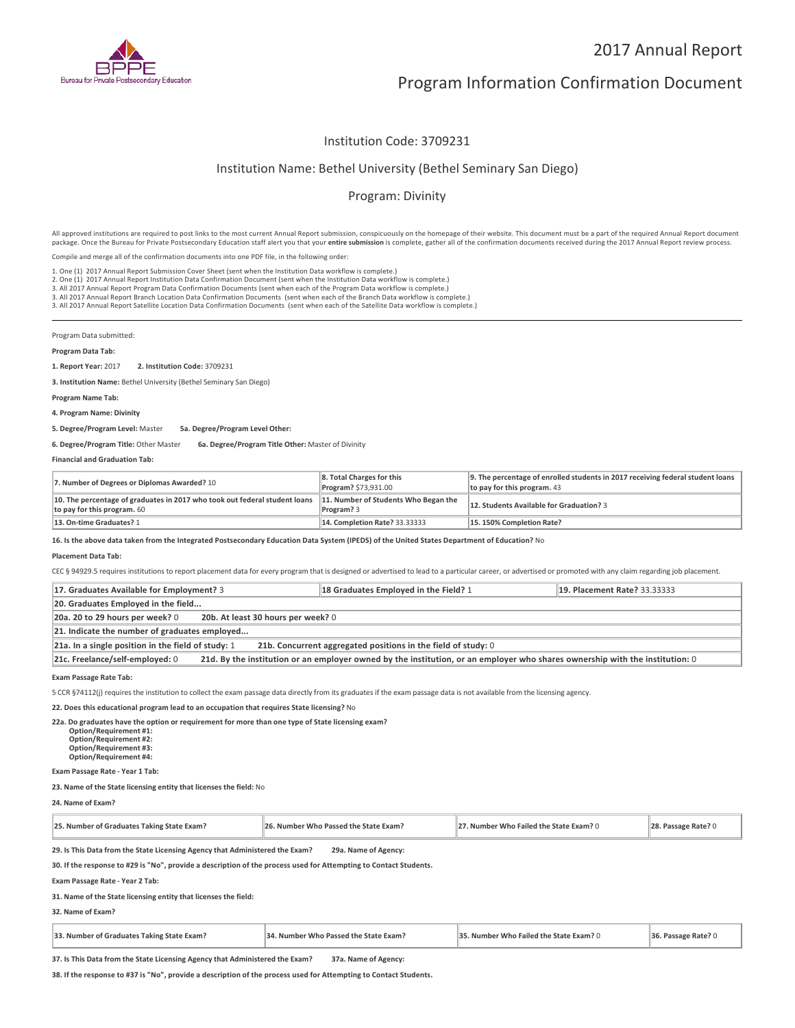

# Program Information Confirmation Document

# Institution Code: 3709231

## Institution Name: Bethel University (Bethel Seminary San Diego)

# Program: Divinity

All approved institutions are required to post links to the most current Annual Report submission, conspicuously on the homepage of their website. This document must be a part of the required Annual Report document package. Once the Bureau for Private Postsecondary Education staff alert you that your **entire submission** is complete, gather all of the confirmation documents received during the 2017 Annual Report review process.

Compile and merge all of the confirmation documents into one PDF file, in the following order:

1. One (1) 2017 Annual Report Submission Cover Sheet (sent when the Institution Data workflow is complete.)

1. One (1) 2017 Annual Report Submission Cover Sheet (sent when the Institution Data workflow is complete.)<br>2. One (1) 2017 Annual Report Institution Data Confirmation Document (sent when the Institution Data workflow is c

3. All 2017 Annual Report Branch Location Data Confirmation Documents (sent when each of the Branch Data workflow is complete.)

3. All 2017 Annual Report Satellite Location Data Confirmation Documents (sent when each of the Satellite Data workflow is complete.)

Program Data submitted:

#### **Program Data Tab:**

**1. Report Year:** 2017 **2. Institution Code:** <sup>3709231</sup>

**3. Institution Name:** Bethel University (Bethel Seminary San Diego)

### **Program Name Tab:**

**4. Program Name: Divinity**

**5. Degree/Program Level:** Master **5a. Degree/Program Level Other:**

**6. Degree/Program Title:** Other Master **6a. Degree/Program Title Other:** Master of Divinity

### **Financial and Graduation Tab:**

| 7. Number of Degrees or Diplomas Awarded? 10                                                              | 8. Total Charges for this<br>Program? \$73,931.00  | 9. The percentage of enrolled students in 2017 receiving federal student loans<br>to pay for this program. 43 |
|-----------------------------------------------------------------------------------------------------------|----------------------------------------------------|---------------------------------------------------------------------------------------------------------------|
| 10. The percentage of graduates in 2017 who took out federal student loans<br>to pay for this program. 60 | 11. Number of Students Who Began the<br>Program? 3 | 12. Students Available for Graduation? 3                                                                      |
| 13. On-time Graduates? 1                                                                                  | <b>14. Completion Rate? 33.33333</b>               | 15.150% Completion Rate?                                                                                      |

**16. Is the above data taken from the Integrated Postsecondary Education Data System (IPEDS) of the United States Department of Education?** No

#### **Placement Data Tab:**

CEC § 94929.5 requires institutions to report placement data for every program that is designed or advertised to lead to a particular career, or advertised or promoted with any claim regarding job placement.

| 17. Graduates Available for Employment? 3                                                                                                                       | 18 Graduates Employed in the Field? 1 | <b>19. Placement Rate? 33.33333</b> |  |
|-----------------------------------------------------------------------------------------------------------------------------------------------------------------|---------------------------------------|-------------------------------------|--|
| 20. Graduates Employed in the field                                                                                                                             |                                       |                                     |  |
| 20a. 20 to 29 hours per week? 0<br>20b. At least 30 hours per week? 0                                                                                           |                                       |                                     |  |
| 21. Indicate the number of graduates employed                                                                                                                   |                                       |                                     |  |
| 21a. In a single position in the field of study: 1<br>21b. Concurrent aggregated positions in the field of study: 0                                             |                                       |                                     |  |
| 21d. By the institution or an employer owned by the institution, or an employer who shares ownership with the institution: 0<br>21c. Freelance/self-employed: 0 |                                       |                                     |  |

**Exam Passage Rate Tab:**

5 CCR §74112(j) requires the institution to collect the exam passage data directly from its graduates if the exam passage data is not available from the licensing agency.

### **22. Does this educational program lead to an occupation that requires State licensing?** No

| ?2a. Do graduates have the option or requirement for more than one type of State licensing exam? |
|--------------------------------------------------------------------------------------------------|
| <b>Option/Requirement #1:</b>                                                                    |
| <b>Option/Requirement #2:</b>                                                                    |
| <b>Option/Requirement #3:</b>                                                                    |
| <b>Option/Requirement #4:</b>                                                                    |

**Exam Passage Rate - Year 1 Tab:**

#### **23. Name of the State licensing entity that licenses the field:** No

**24. Name of Exam?**

| 25. Number of Graduates Taking State Exam?<br>26. Number Who Passed the State Exam? |                      | 27. Number Who Failed the State Exam? 0 | 28. Passage Rate? 0 |
|-------------------------------------------------------------------------------------|----------------------|-----------------------------------------|---------------------|
| 29. Is This Data from the State Licensing Agency that Administered the Exam?        | 29a. Name of Agency: |                                         |                     |

**30. If the response to #29 is "No", provide a description of the process used for Attempting to Contact Students.**

**Exam Passage Rate - Year 2 Tab:**

### **31. Name of the State licensing entity that licenses the field:**

**32. Name of Exam?**

| 33. Number of Graduates Taking State Exam? | I. Number Who Passed the State Exam? | $5.$ Number Who Failed the State Exam? $0$ | 36. Passage Rate? ( |
|--------------------------------------------|--------------------------------------|--------------------------------------------|---------------------|
|--------------------------------------------|--------------------------------------|--------------------------------------------|---------------------|

**37. Is This Data from the State Licensing Agency that Administered the Exam? 37a. Name of Agency:**

**38. If the response to #37 is "No", provide a description of the process used for Attempting to Contact Students.**